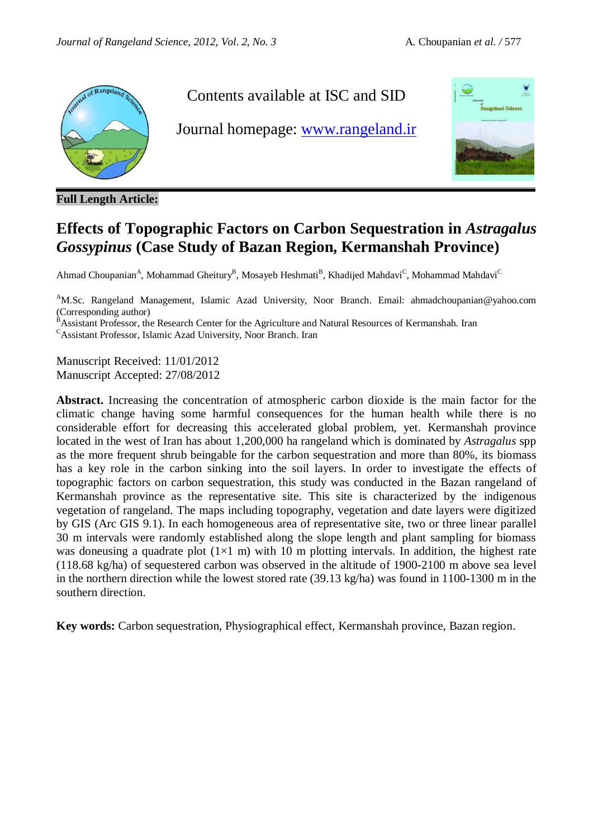

**Full Length Article:**

# Contents available at ISC and SID

Journal homepage: [www.rangeland.ir](http://www.rangeland.ir/)



# **Effects of Topographic Factors on Carbon Sequestration in** *Astragalus Gossypinus* **(Case Study of Bazan Region, Kermanshah Province)**

Ahmad Choupanian<sup>A</sup>, Mohammad Gheitury<sup>B</sup>, Mosayeb Heshmati<sup>B</sup>, Khadijed Mahdavi<sup>C</sup>, Mohammad Mahdavi<sup>C</sup>

<sup>A</sup>M.Sc. Rangeland Management, Islamic Azad University, Noor Branch. Email: ahmadchoupanian@yahoo.com (Corresponding author)

B<sup>A</sup> Assistant Professor, the Research Center for the Agriculture and Natural Resources of Kermanshah. Iran

<sup>C</sup>Assistant Professor, Islamic Azad University, Noor Branch. Iran

Manuscript Received: 11/01/2012 Manuscript Accepted: 27/08/2012

**Abstract.** Increasing the concentration of atmospheric carbon dioxide is the main factor for the climatic change having some harmful consequences for the human health while there is no considerable effort for decreasing this accelerated global problem, yet. Kermanshah province located in the west of Iran has about 1,200,000 ha rangeland which is dominated by *Astragalus* spp as the more frequent shrub beingable for the carbon sequestration and more than 80%, its biomass has a key role in the carbon sinking into the soil layers. In order to investigate the effects of topographic factors on carbon sequestration, this study was conducted in the Bazan rangeland of Kermanshah province as the representative site. This site is characterized by the indigenous vegetation of rangeland. The maps including topography, vegetation and date layers were digitized by GIS (Arc GIS 9.1). In each homogeneous area of representative site, two or three linear parallel 30 m intervals were randomly established along the slope length and plant sampling for biomass was doneusing a quadrate plot  $(1\times1 \text{ m})$  with 10 m plotting intervals. In addition, the highest rate (118.68 kg/ha) of sequestered carbon was observed in the altitude of 1900-2100 m above sea level in the northern direction while the lowest stored rate (39.13 kg/ha) was found in 1100-1300 m in the southern direction.

**Key words:** Carbon sequestration, Physiographical effect, Kermanshah province, Bazan region.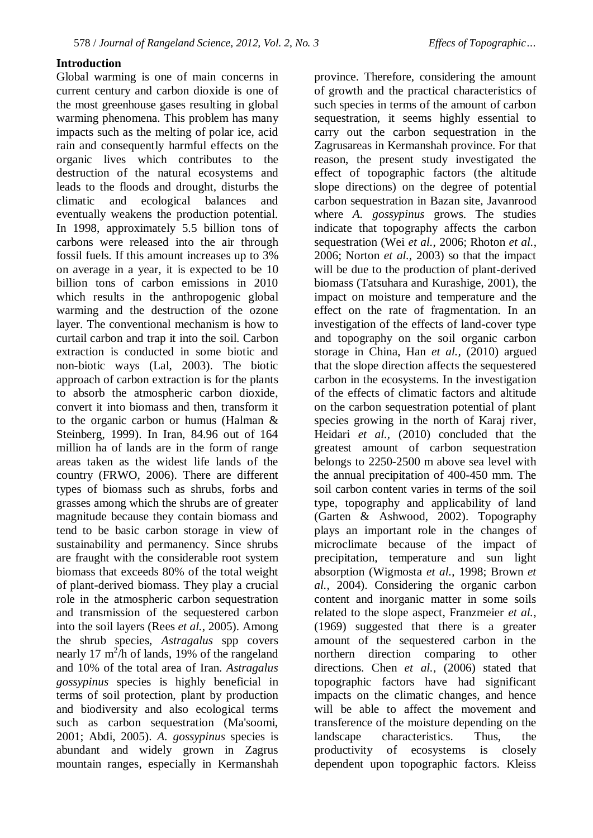#### **Introduction**

Global warming is one of main concerns in current century and carbon dioxide is one of the most greenhouse gases resulting in global warming phenomena. This problem has many impacts such as the melting of polar ice, acid rain and consequently harmful effects on the organic lives which contributes to the destruction of the natural ecosystems and leads to the floods and drought, disturbs the climatic and ecological balances and eventually weakens the production potential. In 1998, approximately 5.5 billion tons of carbons were released into the air through fossil fuels. If this amount increases up to 3% on average in a year, it is expected to be 10 billion tons of carbon emissions in 2010 which results in the anthropogenic global warming and the destruction of the ozone layer. The conventional mechanism is how to curtail carbon and trap it into the soil. Carbon extraction is conducted in some biotic and non-biotic ways (Lal, 2003). The biotic approach of carbon extraction is for the plants to absorb the atmospheric carbon dioxide, convert it into biomass and then, transform it to the organic carbon or humus (Halman & Steinberg, 1999). In Iran, 84.96 out of 164 million ha of lands are in the form of range areas taken as the widest life lands of the country (FRWO, 2006). There are different types of biomass such as shrubs, forbs and grasses among which the shrubs are of greater magnitude because they contain biomass and tend to be basic carbon storage in view of sustainability and permanency. Since shrubs are fraught with the considerable root system biomass that exceeds 80% of the total weight of plant-derived biomass. They play a crucial role in the atmospheric carbon sequestration and transmission of the sequestered carbon into the soil layers (Rees *et al.*, 2005). Among the shrub species, *Astragalus* spp covers nearly 17  $m^2/h$  of lands, 19% of the rangeland and 10% of the total area of Iran. *Astragalus gossypinus* species is highly beneficial in terms of soil protection, plant by production and biodiversity and also ecological terms such as carbon sequestration (Ma'soomi, 2001; Abdi, 2005). *A. gossypinus* species is abundant and widely grown in Zagrus mountain ranges, especially in Kermanshah

province. Therefore, considering the amount of growth and the practical characteristics of such species in terms of the amount of carbon sequestration, it seems highly essential to carry out the carbon sequestration in the Zagrusareas in Kermanshah province. For that reason, the present study investigated the effect of topographic factors (the altitude slope directions) on the degree of potential carbon sequestration in Bazan site, Javanrood where *A. gossypinus* grows. The studies indicate that topography affects the carbon sequestration (Wei *et al.*, 2006; Rhoton *et al.*, 2006; Norton *et al.*, 2003) so that the impact will be due to the production of plant-derived biomass (Tatsuhara and Kurashige, 2001), the impact on moisture and temperature and the effect on the rate of fragmentation. In an investigation of the effects of land-cover type and topography on the soil organic carbon storage in China, Han *et al.,* (2010) argued that the slope direction affects the sequestered carbon in the ecosystems. In the investigation of the effects of climatic factors and altitude on the carbon sequestration potential of plant species growing in the north of Karaj river, Heidari *et al.,* (2010) concluded that the greatest amount of carbon sequestration belongs to 2250-2500 m above sea level with the annual precipitation of 400-450 mm. The soil carbon content varies in terms of the soil type, topography and applicability of land (Garten & Ashwood, 2002). Topography plays an important role in the changes of microclimate because of the impact of precipitation, temperature and sun light absorption (Wigmosta *et al.*, 1998; Brown *et al.*, 2004). Considering the organic carbon content and inorganic matter in some soils related to the slope aspect, Franzmeier *et al.,* (1969) suggested that there is a greater amount of the sequestered carbon in the northern direction comparing to other directions. Chen *et al.,* (2006) stated that topographic factors have had significant impacts on the climatic changes, and hence will be able to affect the movement and transference of the moisture depending on the landscape characteristics. Thus, the productivity of ecosystems is closely dependent upon topographic factors. Kleiss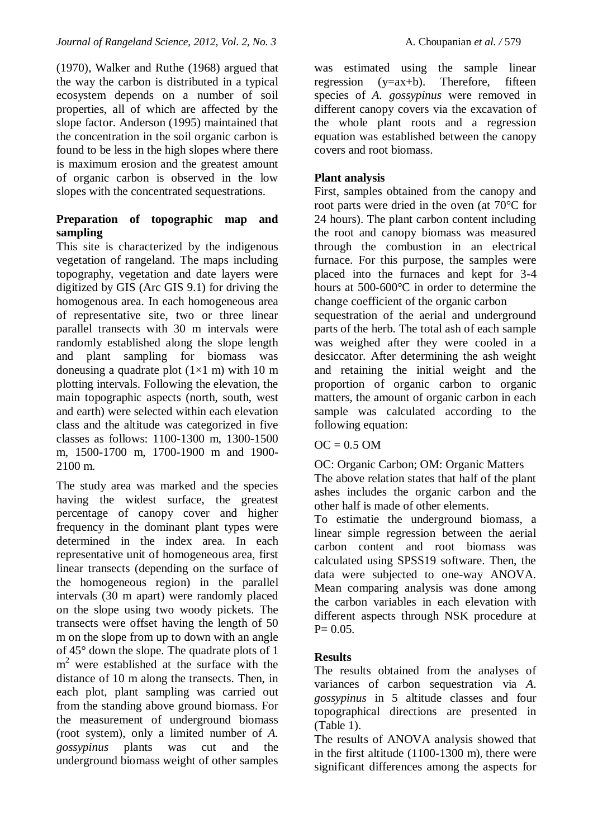(1970), Walker and Ruthe (1968) argued that the way the carbon is distributed in a typical ecosystem depends on a number of soil properties, all of which are affected by the slope factor. Anderson (1995) maintained that the concentration in the soil organic carbon is found to be less in the high slopes where there is maximum erosion and the greatest amount of organic carbon is observed in the low slopes with the concentrated sequestrations.

#### **Preparation of topographic map and sampling**

This site is characterized by the indigenous vegetation of rangeland. The maps including topography, vegetation and date layers were digitized by GIS (Arc GIS 9.1) for driving the homogenous area. In each homogeneous area of representative site, two or three linear parallel transects with 30 m intervals were randomly established along the slope length and plant sampling for biomass was doneusing a quadrate plot  $(1\times1$  m) with 10 m plotting intervals. Following the elevation, the main topographic aspects (north, south, west and earth) were selected within each elevation class and the altitude was categorized in five classes as follows: 1100-1300 m, 1300-1500 m, 1500-1700 m, 1700-1900 m and 1900- 2100 m.

The study area was marked and the species having the widest surface, the greatest percentage of canopy cover and higher frequency in the dominant plant types were determined in the index area. In each representative unit of homogeneous area, first linear transects (depending on the surface of the homogeneous region) in the parallel intervals (30 m apart) were randomly placed on the slope using two woody pickets. The transects were offset having the length of 50 m on the slope from up to down with an angle of 45° down the slope. The quadrate plots of 1 m<sup>2</sup> were established at the surface with the distance of 10 m along the transects. Then, in each plot, plant sampling was carried out from the standing above ground biomass. For the measurement of underground biomass (root system), only a limited number of *A. gossypinus* plants was cut and the underground biomass weight of other samples

was estimated using the sample linear regression (y=ax+b). Therefore, fifteen species of *A. gossypinus* were removed in different canopy covers via the excavation of the whole plant roots and a regression equation was established between the canopy covers and root biomass.

### **Plant analysis**

First, samples obtained from the canopy and root parts were dried in the oven (at 70°C for 24 hours). The plant carbon content including the root and canopy biomass was measured through the combustion in an electrical furnace. For this purpose, the samples were placed into the furnaces and kept for 3-4 hours at 500-600°C in order to determine the change coefficient of the organic carbon sequestration of the aerial and underground parts of the herb. The total ash of each sample

was weighed after they were cooled in a desiccator. After determining the ash weight and retaining the initial weight and the proportion of organic carbon to organic matters, the amount of organic carbon in each sample was calculated according to the following equation:

### $OC = 0.5$  OM

OC: Organic Carbon; OM: Organic Matters The above relation states that half of the plant ashes includes the organic carbon and the other half is made of other elements.

To estimatie the underground biomass, a linear simple regression between the aerial carbon content and root biomass was calculated using SPSS19 software. Then, the data were subjected to one-way ANOVA. Mean comparing analysis was done among the carbon variables in each elevation with different aspects through NSK procedure at  $P= 0.05.$ 

## **Results**

The results obtained from the analyses of variances of carbon sequestration via *A. gossypinus* in 5 altitude classes and four topographical directions are presented in (Table 1).

The results of ANOVA analysis showed that in the first altitude (1100-1300 m), there were significant differences among the aspects for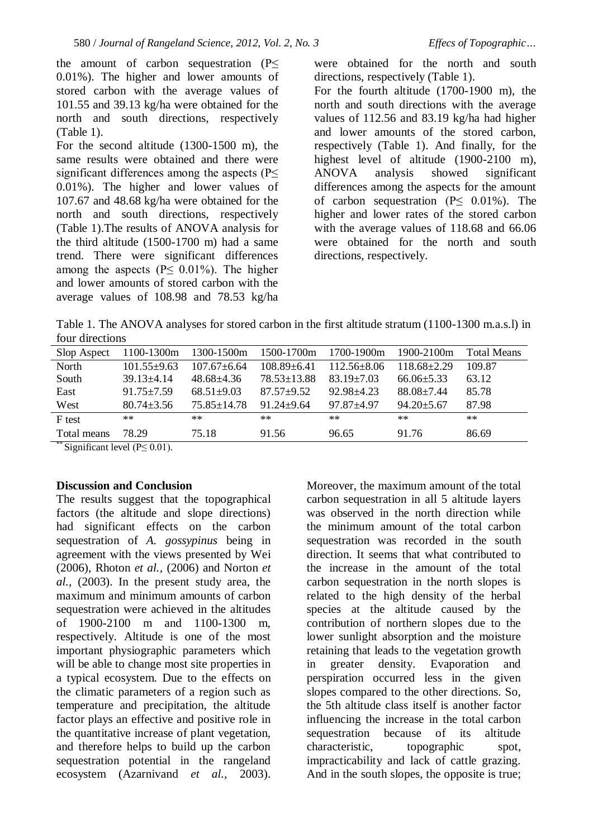the amount of carbon sequestration (P≤ 0.01%). The higher and lower amounts of stored carbon with the average values of 101.55 and 39.13 kg/ha were obtained for the north and south directions, respectively (Table 1).

For the second altitude (1300-1500 m), the same results were obtained and there were significant differences among the aspects (P< 0.01%). The higher and lower values of 107.67 and 48.68 kg/ha were obtained for the north and south directions, respectively (Table 1).The results of ANOVA analysis for the third altitude (1500-1700 m) had a same trend. There were significant differences among the aspects ( $P \le 0.01\%$ ). The higher and lower amounts of stored carbon with the average values of 108.98 and 78.53 kg/ha

were obtained for the north and south directions, respectively (Table 1).

For the fourth altitude (1700-1900 m), the north and south directions with the average values of 112.56 and 83.19 kg/ha had higher and lower amounts of the stored carbon, respectively (Table 1). And finally, for the highest level of altitude (1900-2100 m), ANOVA analysis showed significant differences among the aspects for the amount of carbon sequestration ( $P \leq 0.01\%$ ). The higher and lower rates of the stored carbon with the average values of 118.68 and 66.06 were obtained for the north and south directions, respectively.

Table 1. The ANOVA analyses for stored carbon in the first altitude stratum (1100-1300 m.a.s.l) in four directions

| Slop Aspect                                                                                                   | 1100-1300m       | 1300-1500m      | 1500-1700m      | 1700-1900m      | 1900-2100m        | <b>Total Means</b> |
|---------------------------------------------------------------------------------------------------------------|------------------|-----------------|-----------------|-----------------|-------------------|--------------------|
| North                                                                                                         | $101.55 + 9.63$  | $107.67 + 6.64$ | $108.89 + 6.41$ | $112.56 + 8.06$ | $118.68 \pm 2.29$ | 109.87             |
| South                                                                                                         | $39.13 \pm 4.14$ | $48.68 + 4.36$  | 78.53+13.88     | $83.19 + 7.03$  | $66.06 \pm 5.33$  | 63.12              |
| East                                                                                                          | $91.75 \pm 7.59$ | $68.51 + 9.03$  | $87.57 + 9.52$  | $92.98 + 4.23$  | $88.08 \pm 7.44$  | 85.78              |
| West                                                                                                          | $80.74 \pm 3.56$ | $75.85 + 14.78$ | $91.24 + 9.64$  | $97.87 + 4.97$  | $94.20 \pm 5.67$  | 87.98              |
| F test                                                                                                        | $**$             | $**$            | $**$            | $**$            | $**$              | $**$               |
| Total means                                                                                                   | 78.29            | 75.18           | 91.56           | 96.65           | 91.76             | 86.69              |
| $\frac{1}{2}$ , $\frac{1}{2}$ , $\frac{1}{2}$ , $\frac{1}{2}$ , $\frac{1}{2}$ , $\frac{1}{2}$ , $\frac{1}{2}$ |                  |                 |                 |                 |                   |                    |

Significant level ( $P \leq 0.01$ ).

#### **Discussion and Conclusion**

The results suggest that the topographical factors (the altitude and slope directions) had significant effects on the carbon sequestration of *A. gossypinus* being in agreement with the views presented by Wei (2006), Rhoton *et al.,* (2006) and Norton *et al.,* (2003). In the present study area, the maximum and minimum amounts of carbon sequestration were achieved in the altitudes of 1900-2100 m and 1100-1300 m, respectively. Altitude is one of the most important physiographic parameters which will be able to change most site properties in a typical ecosystem. Due to the effects on the climatic parameters of a region such as temperature and precipitation, the altitude factor plays an effective and positive role in the quantitative increase of plant vegetation, and therefore helps to build up the carbon sequestration potential in the rangeland ecosystem (Azarnivand *et al.,* 2003).

Moreover, the maximum amount of the total carbon sequestration in all 5 altitude layers was observed in the north direction while the minimum amount of the total carbon sequestration was recorded in the south direction. It seems that what contributed to the increase in the amount of the total carbon sequestration in the north slopes is related to the high density of the herbal species at the altitude caused by the contribution of northern slopes due to the lower sunlight absorption and the moisture retaining that leads to the vegetation growth in greater density. Evaporation and perspiration occurred less in the given slopes compared to the other directions. So, the 5th altitude class itself is another factor influencing the increase in the total carbon sequestration because of its altitude characteristic, topographic spot, impracticability and lack of cattle grazing. And in the south slopes, the opposite is true;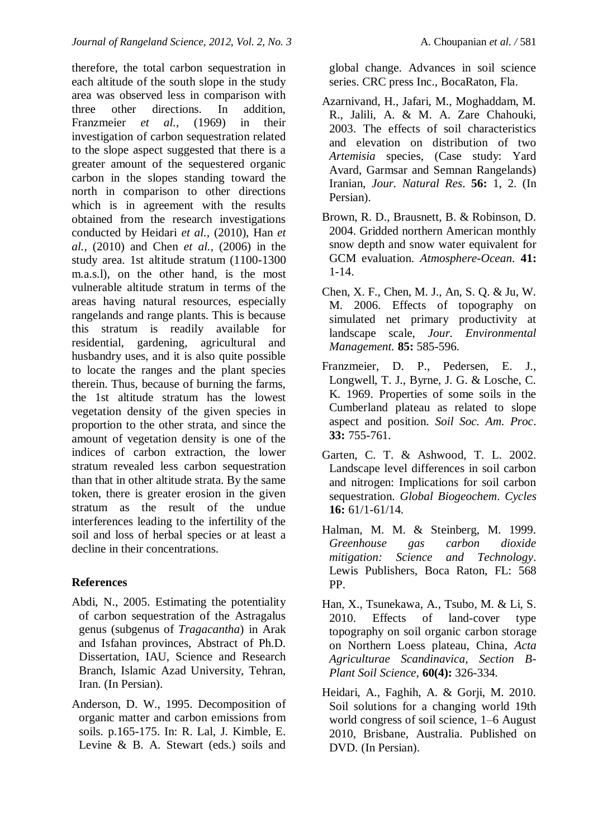therefore, the total carbon sequestration in each altitude of the south slope in the study area was observed less in comparison with three other directions. In addition, Franzmeier *et al.,* (1969) in their investigation of carbon sequestration related to the slope aspect suggested that there is a greater amount of the sequestered organic carbon in the slopes standing toward the north in comparison to other directions which is in agreement with the results obtained from the research investigations conducted by Heidari *et al.,* (2010), Han *et al.,* (2010) and Chen *et al.,* (2006) in the study area. 1st altitude stratum (1100-1300 m.a.s.l), on the other hand, is the most vulnerable altitude stratum in terms of the areas having natural resources, especially rangelands and range plants. This is because this stratum is readily available for residential, gardening, agricultural and husbandry uses, and it is also quite possible to locate the ranges and the plant species therein. Thus, because of burning the farms, the 1st altitude stratum has the lowest vegetation density of the given species in proportion to the other strata, and since the amount of vegetation density is one of the indices of carbon extraction, the lower stratum revealed less carbon sequestration than that in other altitude strata. By the same token, there is greater erosion in the given stratum as the result of the undue interferences leading to the infertility of the soil and loss of herbal species or at least a decline in their concentrations.

### **References**

- Abdi, N., 2005. Estimating the potentiality of carbon sequestration of the Astragalus genus (subgenus of *Tragacantha*) in Arak and Isfahan provinces, Abstract of Ph.D. Dissertation, IAU, Science and Research Branch, Islamic Azad University, Tehran, Iran. (In Persian).
- Anderson, D. W., 1995. Decomposition of organic matter and carbon emissions from soils. p.165-175. In: R. Lal, J. Kimble, E. Levine & B. A. Stewart (eds.) soils and

global change. Advances in soil science series. CRC press Inc., BocaRaton, Fla.

- Azarnivand, H., Jafari, M., Moghaddam, M. R., Jalili, A. & M. A. Zare Chahouki, 2003. The effects of soil characteristics and elevation on distribution of two *Artemisia* species, (Case study: Yard Avard, Garmsar and Semnan Rangelands) Iranian, *Jour. Natural Res*. **56:** 1, 2. (In Persian).
- Brown, R. D., Brausnett, B. & Robinson, D. 2004. Gridded northern American monthly snow depth and snow water equivalent for GCM evaluation. *Atmosphere-Ocean*. **41:** 1-14.
- Chen, X. F., Chen, M. J., An, S. Q. & Ju, W. M. 2006. Effects of topography on simulated net primary productivity at landscape scale, *Jour. Environmental Management.* **85:** 585-596.
- Franzmeier, D. P., Pedersen, E. J., Longwell, T. J., Byrne, J. G. & Losche, C. K. 1969. Properties of some soils in the Cumberland plateau as related to slope aspect and position. *Soil Soc. Am. Proc*. **33:** 755-761.
- Garten, C. T. & Ashwood, T. L. 2002. Landscape level differences in soil carbon and nitrogen: Implications for soil carbon sequestration. *Global Biogeochem*. *Cycles*  **16:** 61/1-61/14.
- Halman, M. M. & Steinberg, M. 1999. *Greenhouse gas carbon dioxide mitigation: Science and Technology*. Lewis Publishers, Boca Raton, FL: 568 PP.
- Han, X., Tsunekawa, A., Tsubo, M. & Li, S. 2010. Effects of land-cover type topography on soil organic carbon storage on Northern Loess plateau, China*, Acta Agriculturae Scandinavica, Section B-Plant Soil Science*, **60(4):** 326-334.
- Heidari, A., Faghih, A. & Gorii, M. 2010. Soil solutions for a changing world 19th world congress of soil science, 1–6 August 2010, Brisbane, Australia. Published on DVD. (In Persian).